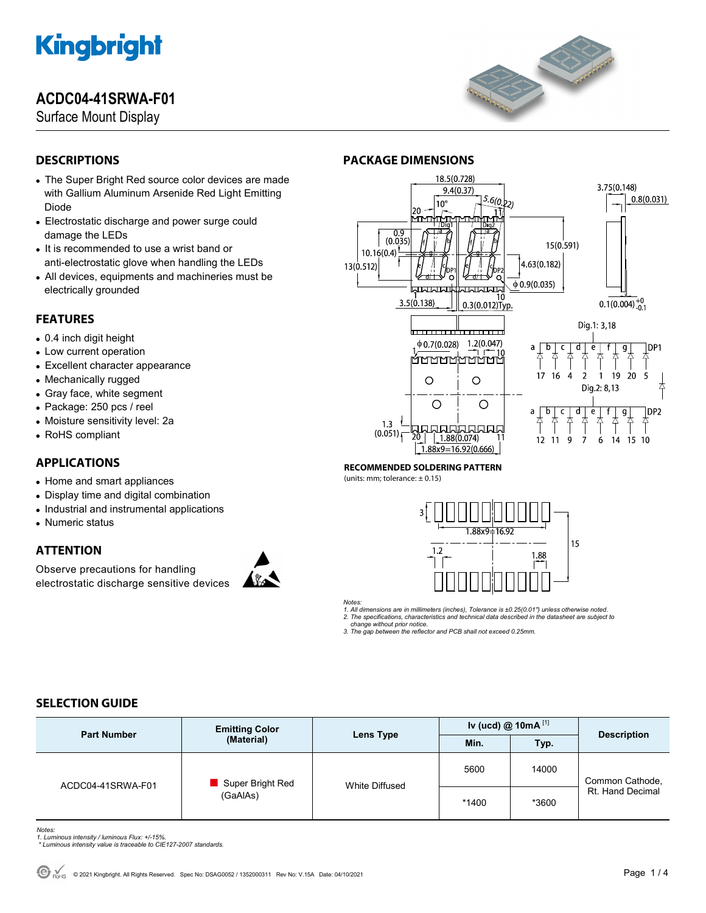## **ACDC04-41SRWA-F01**

Surface Mount Display



## **DESCRIPTIONS**

- The Super Bright Red source color devices are made with Gallium Aluminum Arsenide Red Light Emitting Diode
- Electrostatic discharge and power surge could damage the LEDs
- It is recommended to use a wrist band or anti-electrostatic glove when handling the LEDs
- All devices, equipments and machineries must be electrically grounded

### **FEATURES**

- 0.4 inch digit height
- Low current operation
- Excellent character appearance
- Mechanically rugged
- Gray face, white segment
- Package: 250 pcs / reel
- Moisture sensitivity level: 2a
- RoHS compliant

## **APPLICATIONS**

- Home and smart appliances
- Display time and digital combination
- Industrial and instrumental applications
- Numeric status

## **ATTENTION**

Observe precautions for handling electrostatic discharge sensitive devices





#### **RECOMMENDED SOLDERING PATTERN**

**PACKAGE DIMENSIONS** 

(units: mm; tolerance:  $\pm$  0.15)



*Notes:* 

*1. All dimensions are in millimeters (inches), Tolerance is ±0.25(0.01") unless otherwise noted. 2. The specifications, characteristics and technical data described in the datasheet are subject to* 

 *change without prior notice.* 

*3. The gap between the reflector and PCB shall not exceed 0.25mm.* 

### **SELECTION GUIDE**

| <b>Part Number</b> | <b>Emitting Color</b><br>(Material) | Lens Type             | Iv (ucd) @ 10mA $^{[1]}$ |       |                                     |
|--------------------|-------------------------------------|-----------------------|--------------------------|-------|-------------------------------------|
|                    |                                     |                       | Min.                     | Typ.  | <b>Description</b>                  |
| ACDC04-41SRWA-F01  | Super Bright Red<br>(GaAlAs)        | <b>White Diffused</b> | 5600                     | 14000 | Common Cathode,<br>Rt. Hand Decimal |
|                    |                                     |                       | *1400                    | *3600 |                                     |

- *Notes: 1. Luminous intensity / luminous Flux: +/-15%.*
- *\* Luminous intensity value is traceable to CIE127-2007 standards.*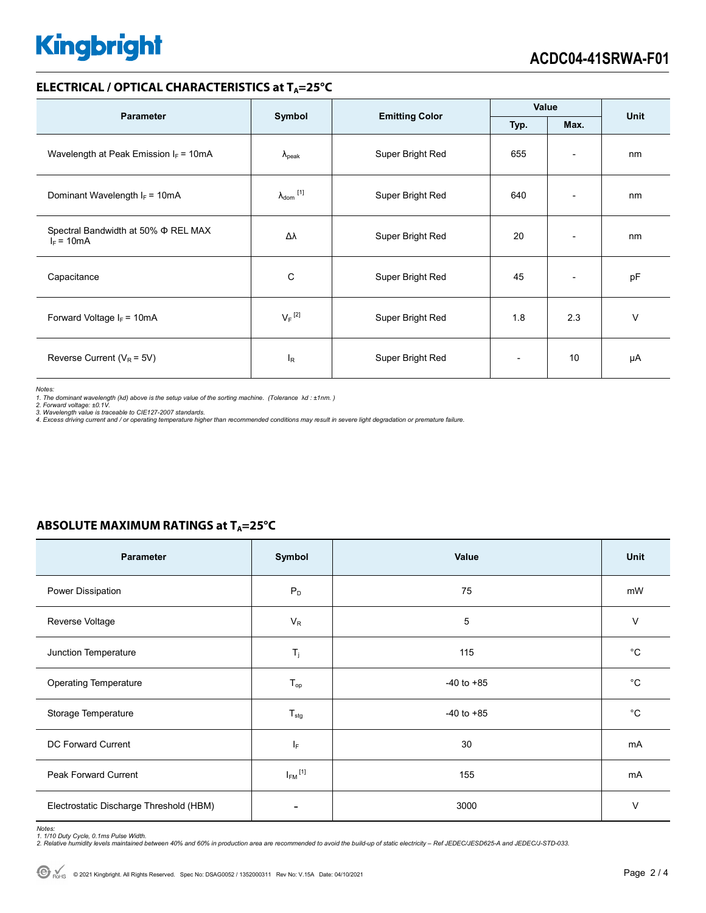### **ELECTRICAL / OPTICAL CHARACTERISTICS at T<sub>A</sub>=25°C**

| <b>Parameter</b>                                    |                              | <b>Emitting Color</b> | Value                    |                          | <b>Unit</b> |
|-----------------------------------------------------|------------------------------|-----------------------|--------------------------|--------------------------|-------------|
|                                                     | Symbol                       |                       | Typ.                     | Max.                     |             |
| Wavelength at Peak Emission $I_F = 10mA$            | $\lambda_{\rm peak}$         | Super Bright Red      | 655                      | $\overline{\phantom{a}}$ | nm          |
| Dominant Wavelength $I_F = 10mA$                    | $\lambda_{\mathsf{dom}}$ [1] | Super Bright Red      | 640                      | $\overline{\phantom{0}}$ | nm          |
| Spectral Bandwidth at 50% Φ REL MAX<br>$I_F = 10mA$ | Δλ                           | Super Bright Red      | 20                       | $\overline{\phantom{0}}$ | nm          |
| Capacitance                                         | C                            | Super Bright Red      | 45                       | $\overline{\phantom{a}}$ | pF          |
| Forward Voltage $I_F = 10mA$                        | $V_F$ <sup>[2]</sup>         | Super Bright Red      | 1.8                      | 2.3                      | $\vee$      |
| Reverse Current ( $V_R$ = 5V)                       | <sup>I</sup> R               | Super Bright Red      | $\overline{\phantom{a}}$ | 10                       | μA          |

*Notes:* 

*1. The dominant wavelength (*λ*d) above is the setup value of the sorting machine. (Tolerance* λ*d : ±1nm. ) 2. Forward voltage: ±0.1V.* 

3. Wavelength value is traceable to CIE127-2007 standards.<br>4. Excess driving current and / or operating temperature higher than recommended conditions may result in severe light degradation or premature failure.

### **ABSOLUTE MAXIMUM RATINGS at T<sub>A</sub>=25°C**

| Parameter                               | Symbol                  | Value          | Unit        |
|-----------------------------------------|-------------------------|----------------|-------------|
| Power Dissipation                       | $P_D$                   | 75             | mW          |
| Reverse Voltage                         | $V_R$                   | 5              | $\vee$      |
| Junction Temperature                    | $T_j$                   | 115            | $^{\circ}C$ |
| Operating Temperature                   | $T_{op}$                | $-40$ to $+85$ | $^{\circ}C$ |
| Storage Temperature                     | $T_{\text{stg}}$        | $-40$ to $+85$ | $^{\circ}C$ |
| DC Forward Current                      | ΙF                      | 30             | mA          |
| Peak Forward Current                    | $I_{FM}$ <sup>[1]</sup> | 155            | mA          |
| Electrostatic Discharge Threshold (HBM) |                         | 3000           | V           |

Notes:<br>1. 1/10 Duty Cycle, 0.1ms Pulse Width.<br>2. Relative humidity levels maintained between 40% and 60% in production area are recommended to avoid the build-up of static electricity – Ref JEDEC/JESD625-A and JEDEC/J-STD-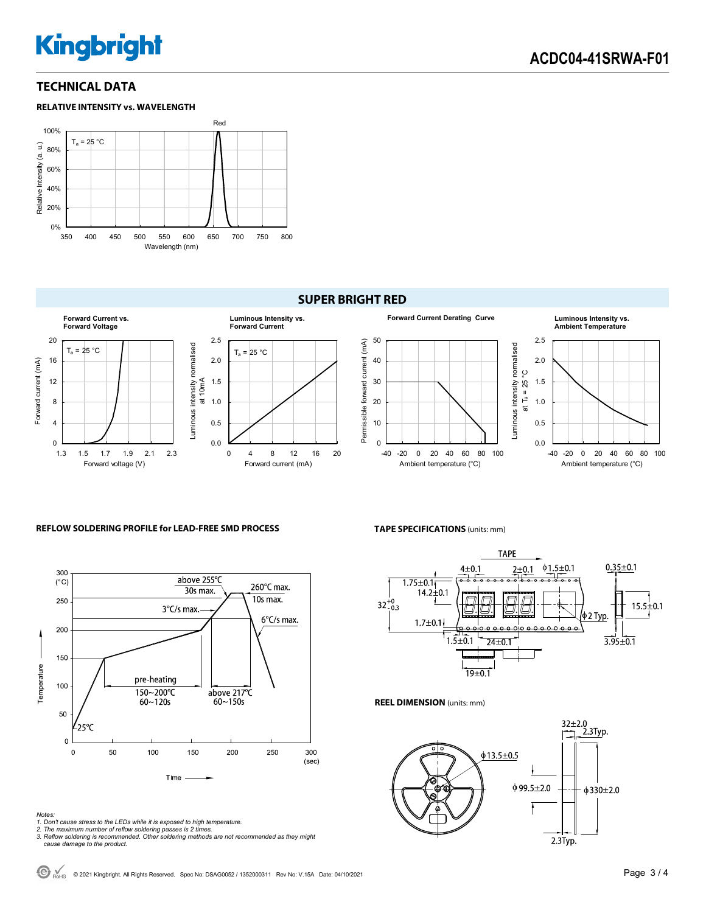### **TECHNICAL DATA**



### **SUPER BRIGHT RED**



#### **REFLOW SOLDERING PROFILE for LEAD-FREE SMD PROCESS**



#### *Notes:*

- *1. Don't cause stress to the LEDs while it is exposed to high temperature.*
- 

**TAPE SPECIFICATIONS** (units: mm)



**REEL DIMENSION** (units: mm)



*<sup>2.</sup> The maximum number of reflow soldering passes is 2 times. 3. Reflow soldering is recommended. Other soldering methods are not recommended as they might cause damage to the product.*